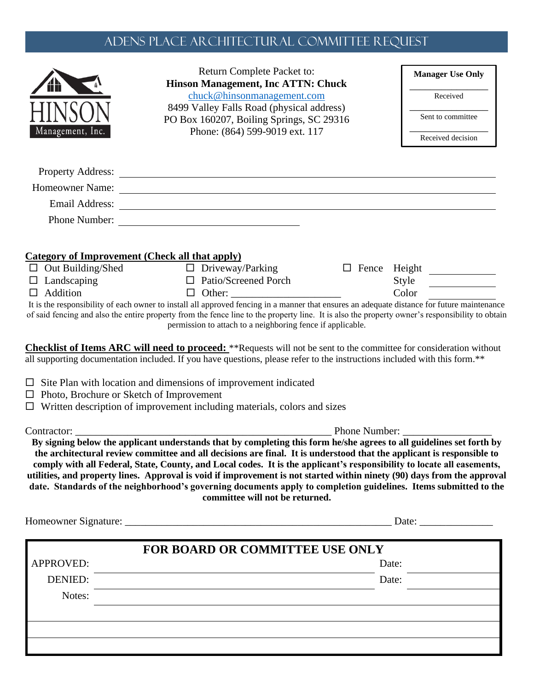## Adens Place ARCHITECTURAL COMMITTEE REQUEST

|                                                 | Return Complete Packet to:<br><b>Hinson Management, Inc ATTN: Chuck</b>                                                                                                                                                                                                                                                                                                                                                                                                                                                                                                                                                                                   |               | <b>Manager Use Only</b>                 |
|-------------------------------------------------|-----------------------------------------------------------------------------------------------------------------------------------------------------------------------------------------------------------------------------------------------------------------------------------------------------------------------------------------------------------------------------------------------------------------------------------------------------------------------------------------------------------------------------------------------------------------------------------------------------------------------------------------------------------|---------------|-----------------------------------------|
|                                                 | chuck@hinsonmanagement.com<br>8499 Valley Falls Road (physical address)                                                                                                                                                                                                                                                                                                                                                                                                                                                                                                                                                                                   |               | Received                                |
|                                                 | PO Box 160207, Boiling Springs, SC 29316                                                                                                                                                                                                                                                                                                                                                                                                                                                                                                                                                                                                                  |               | Sent to committee                       |
| Management, Inc.                                | Phone: (864) 599-9019 ext. 117                                                                                                                                                                                                                                                                                                                                                                                                                                                                                                                                                                                                                            |               | Received decision                       |
|                                                 |                                                                                                                                                                                                                                                                                                                                                                                                                                                                                                                                                                                                                                                           |               |                                         |
|                                                 | Homeowner Name:                                                                                                                                                                                                                                                                                                                                                                                                                                                                                                                                                                                                                                           |               |                                         |
|                                                 | Email Address: Note and Address and Address and Address and Address and Address and Address and Address and Address and Address and Address and Address and Address and Address and Address and Address and Address and Addres                                                                                                                                                                                                                                                                                                                                                                                                                            |               |                                         |
|                                                 | Phone Number:                                                                                                                                                                                                                                                                                                                                                                                                                                                                                                                                                                                                                                             |               |                                         |
|                                                 |                                                                                                                                                                                                                                                                                                                                                                                                                                                                                                                                                                                                                                                           |               |                                         |
| $\Box$ Out Building/Shed                        | <b>Category of Improvement (Check all that apply)</b><br>$\Box$ Driveway/Parking                                                                                                                                                                                                                                                                                                                                                                                                                                                                                                                                                                          |               |                                         |
| $\Box$ Landscaping                              | $\Box$ Patio/Screened Porch                                                                                                                                                                                                                                                                                                                                                                                                                                                                                                                                                                                                                               |               | □ Fence Height <u>________</u><br>Style |
| $\Box$ Addition                                 | $\Box$                                                                                                                                                                                                                                                                                                                                                                                                                                                                                                                                                                                                                                                    |               | Color                                   |
|                                                 | It is the responsibility of each owner to install all approved fencing in a manner that ensures an adequate distance for future maintenance<br>of said fencing and also the entire property from the fence line to the property line. It is also the property owner's responsibility to obtain<br>permission to attach to a neighboring fence if applicable.                                                                                                                                                                                                                                                                                              |               |                                         |
| $\Box$ Photo, Brochure or Sketch of Improvement | <b>Checklist of Items ARC will need to proceed:</b> **Requests will not be sent to the committee for consideration without<br>all supporting documentation included. If you have questions, please refer to the instructions included with this form.**<br>$\Box$ Site Plan with location and dimensions of improvement indicated<br>$\Box$ Written description of improvement including materials, colors and sizes                                                                                                                                                                                                                                      |               |                                         |
| Contractor: _______                             |                                                                                                                                                                                                                                                                                                                                                                                                                                                                                                                                                                                                                                                           | Phone Number: |                                         |
|                                                 | By signing below the applicant understands that by completing this form he/she agrees to all guidelines set forth by<br>the architectural review committee and all decisions are final. It is understood that the applicant is responsible to<br>comply with all Federal, State, County, and Local codes. It is the applicant's responsibility to locate all easements,<br>utilities, and property lines. Approval is void if improvement is not started within ninety (90) days from the approval<br>date. Standards of the neighborhood's governing documents apply to completion guidelines. Items submitted to the<br>committee will not be returned. |               | Date:                                   |
|                                                 |                                                                                                                                                                                                                                                                                                                                                                                                                                                                                                                                                                                                                                                           |               |                                         |
| <b>APPROVED:</b>                                | <b>FOR BOARD OR COMMITTEE USE ONLY</b>                                                                                                                                                                                                                                                                                                                                                                                                                                                                                                                                                                                                                    |               | Date:                                   |
| DENIED:                                         |                                                                                                                                                                                                                                                                                                                                                                                                                                                                                                                                                                                                                                                           |               | Date:                                   |
| Notes:                                          |                                                                                                                                                                                                                                                                                                                                                                                                                                                                                                                                                                                                                                                           |               |                                         |
|                                                 |                                                                                                                                                                                                                                                                                                                                                                                                                                                                                                                                                                                                                                                           |               |                                         |
|                                                 |                                                                                                                                                                                                                                                                                                                                                                                                                                                                                                                                                                                                                                                           |               |                                         |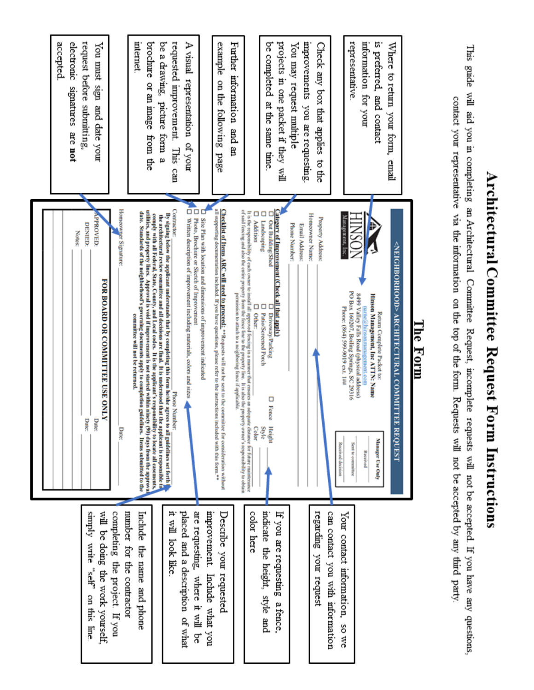|                                                                               | Notes:                                                                                                                                                                                                                                                                                                                                                                                                   | accepted<br>electronic<br>samatures<br>are not                           |
|-------------------------------------------------------------------------------|----------------------------------------------------------------------------------------------------------------------------------------------------------------------------------------------------------------------------------------------------------------------------------------------------------------------------------------------------------------------------------------------------------|--------------------------------------------------------------------------|
| will be doing the work yourself.<br>kiduus<br>write<br>"self"<br>on this line | PPROVED:<br><b>DENIED:</b><br>FOR BOARD OR COMMITTEE USE ONLY<br>Date:<br>Date:                                                                                                                                                                                                                                                                                                                          | request before submitting.<br>You must sign<br>and date your             |
| completing the project. If you                                                | Homeowner Signature:<br><b>Date:</b>                                                                                                                                                                                                                                                                                                                                                                     |                                                                          |
| number for the contractor<br>Include<br>the name and phone                    | utilities, and property lines. Approval is void if improvement is not started within ninety (90) days from the approval<br>date. Standards of the neighborhood's governing documents apply to completion guidelines. Items submitted to the<br>comply with all Federal, State, County, and Local codes. It is the applicant's responsibility to locate all casements,<br>committee will not be returned. | internet<br>brochure or an image<br>from the                             |
| 부스<br>look like                                                               | Contractor:<br>By signing below the applicant understands that by completing this form he/she agrees to all guidelines set forth<br>the architectural review committee and all decisions are final. It is understood that the applicant is responsible to<br>Phone Number:                                                                                                                               | requested improvement.<br>be a drawing.<br>picture form<br>This can<br>ø |
| are requesting.<br>placed and a description of what<br>where it will<br>ă     | őά<br>Written description of improvement including materials, colors and sizes<br>Photo, Brochure or Sketch of Improvement                                                                                                                                                                                                                                                                               | A visual<br>representation<br>mo/ fo                                     |
| mprovement.<br>Describe your requested<br>Include what you                    | all supporting documentation included. If you have questions, please refer to the instructions included with this form.**<br><b>Checklist of Hems ARC will need to proceed:</b> "Requests will not be sent to the committee for consideration without<br>D<br>Site Plan with location and dimensions of improvement indicated                                                                            | example<br>on the following<br>page                                      |
|                                                                               | of said fencing and also the entire property from the fence line to the property line. It is also the property owner's responsibility to obtain<br>permission to attach to a neighboring fence if applicable.                                                                                                                                                                                            | Further information<br>and an                                            |
| indicate the height, style and<br>color here                                  | It is the responsibility of each owner to install all approved fencing in a manner that ensures an adequate distance for future maintenance<br>Ο<br>□<br>ο<br><b>Addition</b><br>Landscaping<br>Out Building/Shed<br>Ω<br>□<br>Ω<br>Patio/Screened Porch<br>Other:<br>Driveway/Parking<br>$\Box$ Fence<br>Style<br>Color<br>Height                                                                       | be completed<br>at the same time                                         |
| If you are requesting<br>a fence,                                             | Category of Improvement (Check all that apply)                                                                                                                                                                                                                                                                                                                                                           | projects in one packet if they will                                      |
|                                                                               | Phone Number:<br>Email Address:                                                                                                                                                                                                                                                                                                                                                                          | improvements you are requesting<br>You may request multiple              |
| regarding your request                                                        | Homeowner Name:<br><b>Property Address:</b>                                                                                                                                                                                                                                                                                                                                                              | Check any box that applies<br>to the                                     |
| can contact you with information<br>Your contact information,<br>SO We        | Management,<br>Phone: (864) 599-9019 ext. 1##<br><b>Received decision</b>                                                                                                                                                                                                                                                                                                                                |                                                                          |
|                                                                               | PO Box 160207, Boiling Springs, SC 29316<br>8499 Valley Falls Road (physical address)<br>Sent to communice                                                                                                                                                                                                                                                                                               | representative                                                           |
|                                                                               | Hinson Management, Inc ATTIN: Name<br>name a hinsonmanagement, com<br>Return Complete Packet to:<br>Manager Use Only<br>Received                                                                                                                                                                                                                                                                         | information for your<br>is preferred, and contact                        |
|                                                                               | <neighborhood> ARCHITECTURAL COMMITTE<br/><b>REQUEST</b></neighborhood>                                                                                                                                                                                                                                                                                                                                  | Where to return<br>your form,<br>final                                   |
|                                                                               | Гhe<br>Form                                                                                                                                                                                                                                                                                                                                                                                              |                                                                          |
|                                                                               |                                                                                                                                                                                                                                                                                                                                                                                                          |                                                                          |
| will not be accepted. If you have any questions,                              | contact your representative via the information on the top of the form. Requests will not be accepted by any third party<br>Committee<br>Request, incomplete requests                                                                                                                                                                                                                                    | This guide will aid you in completing an Architectural                   |

Architectural Committee Request Form Instructions